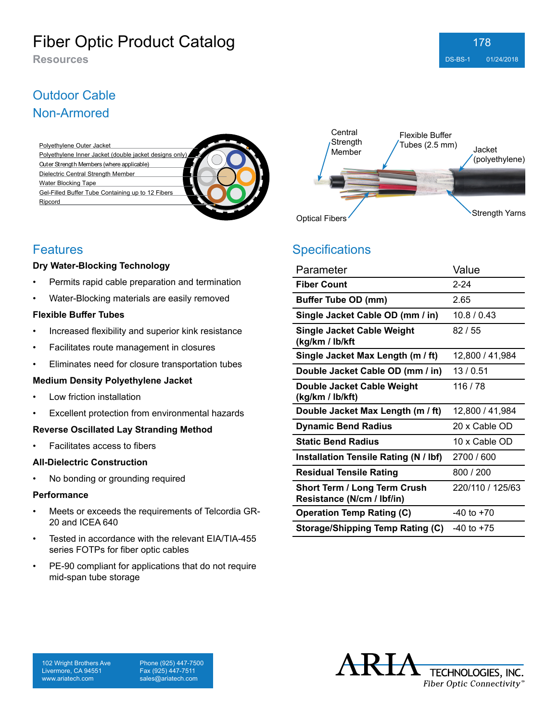## Outdoor Cable Non-Armored





### Features

### **Dry Water-Blocking Technology**

- Permits rapid cable preparation and termination
- Water-Blocking materials are easily removed

#### **Flexible Buffer Tubes**

- Increased flexibility and superior kink resistance
- Facilitates route management in closures
- Eliminates need for closure transportation tubes

### **Medium Density Polyethylene Jacket**

- Low friction installation
- Excellent protection from environmental hazards

### **Reverse Oscillated Lay Stranding Method**

• Facilitates access to fibers

### **All-Dielectric Construction**

No bonding or grounding required

#### **Performance**

- Meets or exceeds the requirements of Telcordia GR-20 and ICEA 640
- Tested in accordance with the relevant EIA/TIA-455 series FOTPs for fiber optic cables
- PE-90 compliant for applications that do not require mid-span tube storage

## **Specifications**

| Parameter                                                         | Value            |
|-------------------------------------------------------------------|------------------|
| <b>Fiber Count</b>                                                | 2-24             |
| <b>Buffer Tube OD (mm)</b>                                        | 2.65             |
| Single Jacket Cable OD (mm / in)                                  | 10.8/0.43        |
| Single Jacket Cable Weight<br>(kg/km / lb/kft                     | 82/55            |
| Single Jacket Max Length (m / ft)                                 | 12,800 / 41,984  |
| Double Jacket Cable OD (mm / in)                                  | 13/0.51          |
| Double Jacket Cable Weight<br>(kg/km / lb/kft)                    | 116 / 78         |
| Double Jacket Max Length (m / ft)                                 | 12,800 / 41,984  |
| <b>Dynamic Bend Radius</b>                                        | 20 x Cable OD    |
| <b>Static Bend Radius</b>                                         | 10 x Cable OD    |
| Installation Tensile Rating (N / lbf)                             | 2700 / 600       |
| <b>Residual Tensile Rating</b>                                    | 800 / 200        |
| <b>Short Term / Long Term Crush</b><br>Resistance (N/cm / lbf/in) | 220/110 / 125/63 |
| <b>Operation Temp Rating (C)</b>                                  | $-40$ to $+70$   |
| Storage/Shipping Temp Rating (C)                                  | $-40$ to $+75$   |



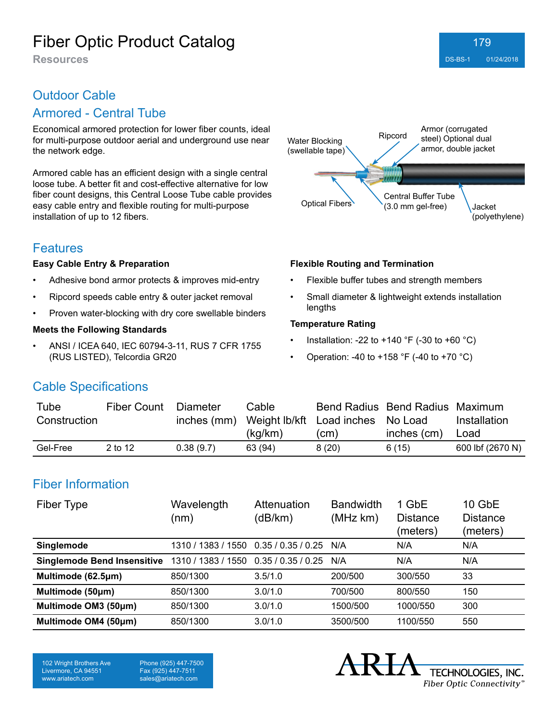### Outdoor Cable

### Armored - Central Tube

Economical armored protection for lower fiber counts, ideal for multi-purpose outdoor aerial and underground use near the network edge.

Armored cable has an efficient design with a single central loose tube. A better fit and cost-effective alternative for low fiber count designs, this Central Loose Tube cable provides easy cable entry and flexible routing for multi-purpose installation of up to 12 fibers.

### **Features**

#### **Easy Cable Entry & Preparation**

- Adhesive bond armor protects & improves mid-entry
- Ripcord speeds cable entry & outer jacket removal
- Proven water-blocking with dry core swellable binders

#### **Meets the Following Standards**

• ANSI / ICEA 640, IEC 60794-3-11, RUS 7 CFR 1755 (RUS LISTED), Telcordia GR20



#### **Flexible Routing and Termination**

- Flexible buffer tubes and strength members
- Small diameter & lightweight extends installation lengths

#### **Temperature Rating**

- Installation: -22 to +140 °F (-30 to +60 °C)
- Operation: -40 to +158 °F (-40 to +70 °C)

### Cable Specifications

| Tube         | <b>Fiber Count</b> | Diameter  | Cable   |                                               | Bend Radius Bend Radius Maximum |                  |
|--------------|--------------------|-----------|---------|-----------------------------------------------|---------------------------------|------------------|
| Construction |                    |           |         | inches (mm) Weight Ib/kft Load inches No Load |                                 | Installation     |
|              |                    |           | (kq/km) | (cm)                                          | inches (cm)                     | Load             |
| Gel-Free     | 2 to 12            | 0.38(9.7) | 63 (94) | 8(20)                                         | 6(15)                           | 600 lbf (2670 N) |

### Fiber Information

| Fiber Type                         | Wavelength<br>(nm) | Attenuation<br>(dB/km) | <b>Bandwidth</b><br>(MHz km) | 1 GbE<br><b>Distance</b><br>(meters) | 10 GbE<br><b>Distance</b><br>(meters) |
|------------------------------------|--------------------|------------------------|------------------------------|--------------------------------------|---------------------------------------|
| Singlemode                         | 1310 / 1383 / 1550 | 0.35/0.35/0.25         | N/A                          | N/A                                  | N/A                                   |
| <b>Singlemode Bend Insensitive</b> | 1310 / 1383 / 1550 | 0.35 / 0.35 / 0.25     | N/A                          | N/A                                  | N/A                                   |
| Multimode (62.5µm)                 | 850/1300           | 3.5/1.0                | 200/500                      | 300/550                              | 33                                    |
| Multimode (50µm)                   | 850/1300           | 3.0/1.0                | 700/500                      | 800/550                              | 150                                   |
| Multimode OM3 (50µm)               | 850/1300           | 3.0/1.0                | 1500/500                     | 1000/550                             | 300                                   |
| Multimode OM4 (50µm)               | 850/1300           | 3.0/1.0                | 3500/500                     | 1100/550                             | 550                                   |

102 Wright Brothers Ave Livermore, CA 94551 www.ariatech.com

Phone (925) 447-7500 Fax (925) 447-7511 sales@ariatech.com

TECHNOLOGIES, INC. Fiber Optic Connectivity®

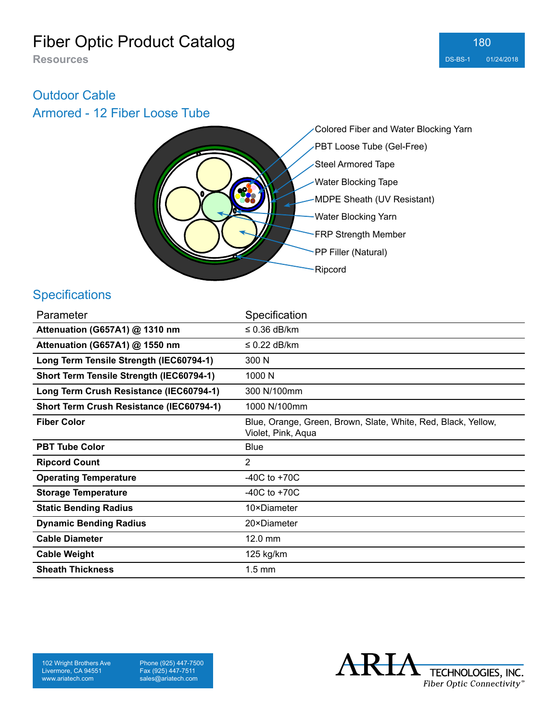### Outdoor Cable

Armored - 12 Fiber Loose Tube



### **Specifications**

| Parameter                                | Specification                                                                       |
|------------------------------------------|-------------------------------------------------------------------------------------|
| Attenuation (G657A1) @ 1310 nm           | $\leq$ 0.36 dB/km                                                                   |
| Attenuation (G657A1) @ 1550 nm           | $\leq$ 0.22 dB/km                                                                   |
| Long Term Tensile Strength (IEC60794-1)  | 300 N                                                                               |
| Short Term Tensile Strength (IEC60794-1) | 1000 N                                                                              |
| Long Term Crush Resistance (IEC60794-1)  | 300 N/100mm                                                                         |
| Short Term Crush Resistance (IEC60794-1) | 1000 N/100mm                                                                        |
| <b>Fiber Color</b>                       | Blue, Orange, Green, Brown, Slate, White, Red, Black, Yellow,<br>Violet, Pink, Aqua |
| <b>PBT Tube Color</b>                    | <b>Blue</b>                                                                         |
| <b>Ripcord Count</b>                     | $\overline{2}$                                                                      |
| <b>Operating Temperature</b>             | -40C to $+70C$                                                                      |
| <b>Storage Temperature</b>               | $-40C$ to $+70C$                                                                    |
| <b>Static Bending Radius</b>             | 10×Diameter                                                                         |
| <b>Dynamic Bending Radius</b>            | 20×Diameter                                                                         |
| <b>Cable Diameter</b>                    | 12.0 mm                                                                             |
| <b>Cable Weight</b>                      | 125 kg/km                                                                           |
| <b>Sheath Thickness</b>                  | $1.5 \text{ mm}$                                                                    |

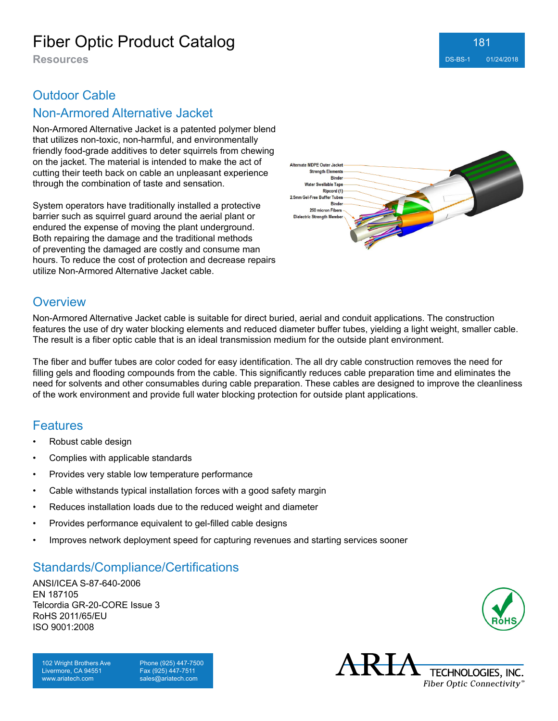### **Resources** DS-BS-1 01/24/2018 181

## Outdoor Cable

### Non-Armored Alternative Jacket

Non-Armored Alternative Jacket is a patented polymer blend that utilizes non-toxic, non-harmful, and environmentally friendly food-grade additives to deter squirrels from chewing on the jacket. The material is intended to make the act of cutting their teeth back on cable an unpleasant experience through the combination of taste and sensation.

System operators have traditionally installed a protective barrier such as squirrel guard around the aerial plant or endured the expense of moving the plant underground. Both repairing the damage and the traditional methods of preventing the damaged are costly and consume man hours. To reduce the cost of protection and decrease repairs utilize Non-Armored Alternative Jacket cable.



### **Overview**

Non-Armored Alternative Jacket cable is suitable for direct buried, aerial and conduit applications. The construction features the use of dry water blocking elements and reduced diameter buffer tubes, yielding a light weight, smaller cable. The result is a fiber optic cable that is an ideal transmission medium for the outside plant environment.

The fiber and buffer tubes are color coded for easy identification. The all dry cable construction removes the need for filling gels and flooding compounds from the cable. This significantly reduces cable preparation time and eliminates the need for solvents and other consumables during cable preparation. These cables are designed to improve the cleanliness of the work environment and provide full water blocking protection for outside plant applications.

### Features

- Robust cable design
- Complies with applicable standards
- Provides very stable low temperature performance
- Cable withstands typical installation forces with a good safety margin
- Reduces installation loads due to the reduced weight and diameter
- Provides performance equivalent to gel-filled cable designs
- Improves network deployment speed for capturing revenues and starting services sooner

### Standards/Compliance/Certifications

ANSI/ICEA S-87-640-2006 EN 187105 Telcordia GR-20-CORE Issue 3 RoHS 2011/65/EU ISO 9001:2008

102 Wright Brothers Ave Livermore, CA 94551 www.ariatech.com

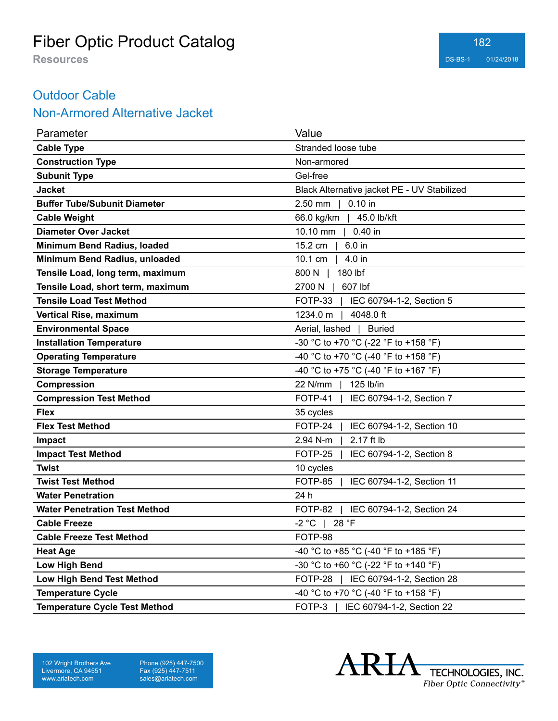### Outdoor Cable

### Non-Armored Alternative Jacket

| Parameter                            | Value                                       |
|--------------------------------------|---------------------------------------------|
| <b>Cable Type</b>                    | Stranded loose tube                         |
| <b>Construction Type</b>             | Non-armored                                 |
| <b>Subunit Type</b>                  | Gel-free                                    |
| <b>Jacket</b>                        | Black Alternative jacket PE - UV Stabilized |
| <b>Buffer Tube/Subunit Diameter</b>  | $0.10$ in<br>$2.50$ mm                      |
| <b>Cable Weight</b>                  | 45.0 lb/kft<br>66.0 kg/km                   |
| <b>Diameter Over Jacket</b>          | 10.10 mm<br>$0.40$ in                       |
| Minimum Bend Radius, loaded          | 15.2 cm<br>6.0 in                           |
| Minimum Bend Radius, unloaded        | 10.1 cm<br>4.0 in                           |
| Tensile Load, long term, maximum     | 800 N<br>180 lbf                            |
| Tensile Load, short term, maximum    | 2700 N<br>607 lbf                           |
| <b>Tensile Load Test Method</b>      | FOTP-33<br>IEC 60794-1-2, Section 5         |
| <b>Vertical Rise, maximum</b>        | 1234.0 m<br>4048.0 ft                       |
| <b>Environmental Space</b>           | Aerial, lashed<br><b>Buried</b>             |
| <b>Installation Temperature</b>      | -30 °C to +70 °C (-22 °F to +158 °F)        |
| <b>Operating Temperature</b>         | -40 °C to +70 °C (-40 °F to +158 °F)        |
| <b>Storage Temperature</b>           | -40 °C to +75 °C (-40 °F to +167 °F)        |
| Compression                          | 22 N/mm<br>125 lb/in                        |
| <b>Compression Test Method</b>       | FOTP-41<br>IEC 60794-1-2, Section 7         |
| <b>Flex</b>                          | 35 cycles                                   |
| <b>Flex Test Method</b>              | FOTP-24<br>IEC 60794-1-2, Section 10        |
| Impact                               | 2.94 N-m<br>2.17 ft lb                      |
| <b>Impact Test Method</b>            | FOTP-25<br>IEC 60794-1-2, Section 8         |
| <b>Twist</b>                         | 10 cycles                                   |
| <b>Twist Test Method</b>             | FOTP-85<br>IEC 60794-1-2, Section 11        |
| <b>Water Penetration</b>             | 24 h                                        |
| <b>Water Penetration Test Method</b> | FOTP-82<br>IEC 60794-1-2, Section 24        |
| <b>Cable Freeze</b>                  | $-2 °C$<br>28 °F                            |
| <b>Cable Freeze Test Method</b>      | FOTP-98                                     |
| <b>Heat Age</b>                      | -40 °C to +85 °C (-40 °F to +185 °F)        |
| <b>Low High Bend</b>                 | -30 °C to +60 °C (-22 °F to +140 °F)        |
| Low High Bend Test Method            | FOTP-28<br>IEC 60794-1-2, Section 28        |
| <b>Temperature Cycle</b>             | -40 °C to +70 °C (-40 °F to +158 °F)        |
| <b>Temperature Cycle Test Method</b> | FOTP-3<br>IEC 60794-1-2, Section 22         |

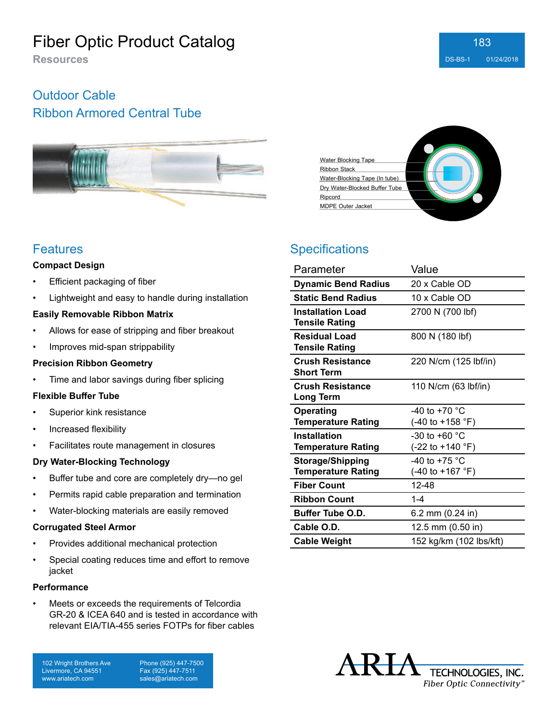# Outdoor Cable

### Ribbon Armored Central Tube



### **Features**

#### **Compact Design**

- **Efficient packaging of fiber**
- Lightweight and easy to handle during installation

#### **Easily Removable Ribbon Matrix**

- Allows for ease of stripping and fiber breakout
- Improves mid-span strippability

### **Precision Ribbon Geometry**

• Time and labor savings during fiber splicing

### **Flexible Buffer Tube**

- Superior kink resistance
- Increased flexibility
- Facilitates route management in closures

### **Dry Water-Blocking Technology**

- Buffer tube and core are completely dry—no gel
- Permits rapid cable preparation and termination
- Water-blocking materials are easily removed

#### **Corrugated Steel Armor**

- Provides additional mechanical protection
- Special coating reduces time and effort to remove jacket

#### **Performance**

Meets or exceeds the requirements of Telcordia GR-20 & ICEA 640 and is tested in accordance with relevant EIA/TIA-455 series FOTPs for fiber cables

102 Wright Brothers Ave Livermore, CA 94551 www.ariatech.com

Phone (925) 447-7500 Fax (925) 447-7511 sales@ariatech.com



## **Specifications**

| Parameter                  | Value                               |
|----------------------------|-------------------------------------|
| <b>Dynamic Bend Radius</b> | 20 x Cable OD                       |
| <b>Static Bend Radius</b>  | 10 x Cable OD                       |
| <b>Installation Load</b>   | 2700 N (700 lbf)                    |
| <b>Tensile Rating</b>      |                                     |
| <b>Residual Load</b>       | 800 N (180 lbf)                     |
| <b>Tensile Rating</b>      |                                     |
| <b>Crush Resistance</b>    | 220 N/cm (125 lbf/in)               |
| <b>Short Term</b>          |                                     |
| <b>Crush Resistance</b>    | 110 N/cm (63 lbf/in)                |
| <b>Long Term</b>           |                                     |
| <b>Operating</b>           | -40 to +70 $^{\circ}$ C             |
| <b>Temperature Rating</b>  | (-40 to +158 °F)                    |
| <b>Installation</b>        | -30 to +60 $^{\circ}$ C             |
| <b>Temperature Rating</b>  | (-22 to +140 °F)                    |
| <b>Storage/Shipping</b>    | -40 to +75 $^{\circ}$ C             |
| <b>Temperature Rating</b>  | $(-40 \text{ to } +167 \text{ °F})$ |
| <b>Fiber Count</b>         | 12-48                               |
| <b>Ribbon Count</b>        | $1 - 4$                             |
| <b>Buffer Tube O.D.</b>    | 6.2 mm (0.24 in)                    |
| Cable O.D.                 | 12.5 mm (0.50 in)                   |
| <b>Cable Weight</b>        | 152 kg/km (102 lbs/kft)             |